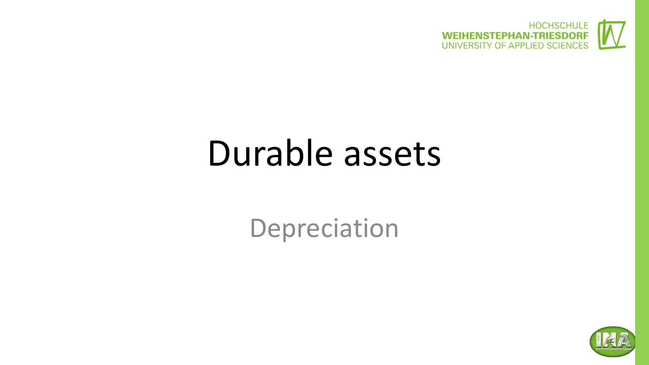

### Durable assets

Depreciation

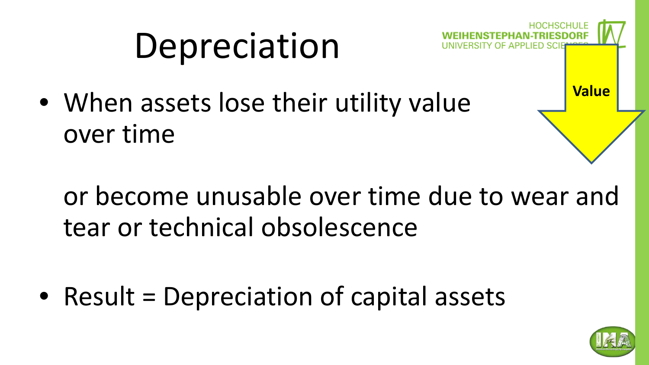# Depreciation

• When assets lose their utility value over time

or become unusable over time due to wear and tear or technical obsolescence

• Result = Depreciation of capital assets



**Value**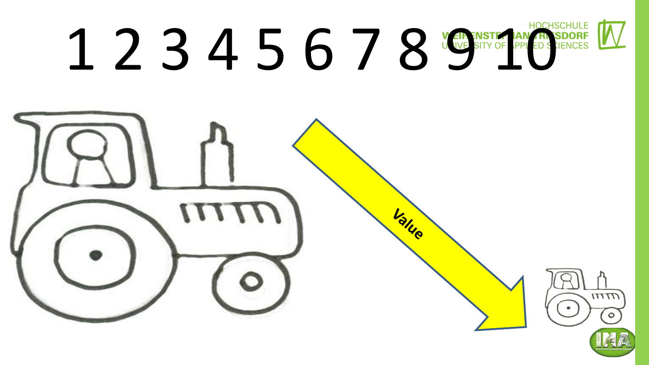# 1 2 3 4 5 6 7 8 WE SITY OF PPLED STENCES

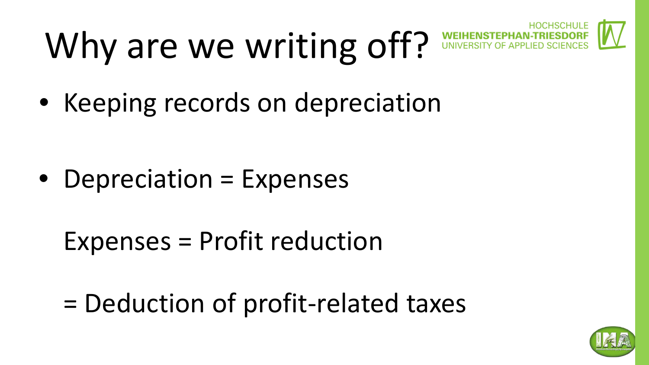# Why are we writing off?



• Keeping records on depreciation

- Depreciation = Expenses
	- Expenses = Profit reduction
	- = Deduction of profit-related taxes

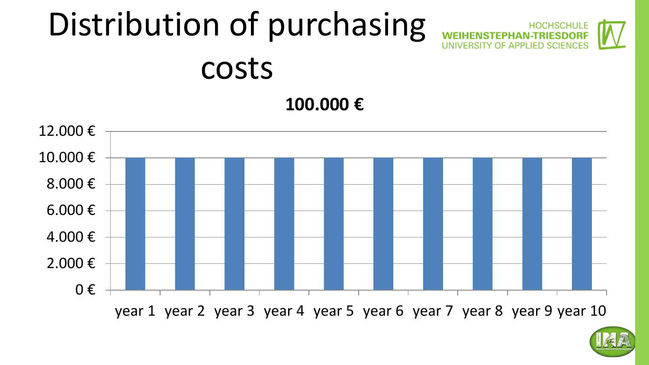#### Distribution of purchasing **WEIHENSTEPHAN-TRIESDOR** UNIVERSITY OF APPLIED SCIENCES costs

**100.000 €**





HSCHULI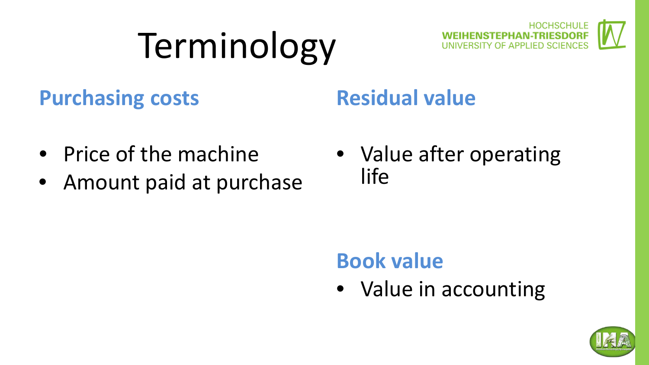# Terminology



#### **Purchasing costs**

#### **Residual value**

- Price of the machine
- Amount paid at purchase
- Value after operating life

#### **Book value**

• Value in accounting

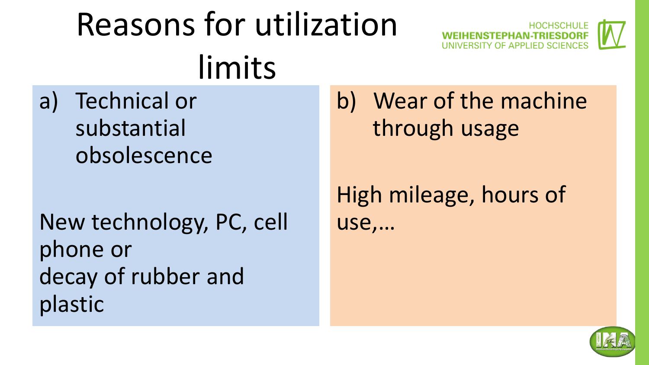### Reasons for utilization limits

a) Technical or substantial obsolescence

New technology, PC, cell phone or decay of rubber and plastic

b) Wear of the machine through usage

**HENSTEPHAN-TRIESDOR** 

High mileage, hours of use,…

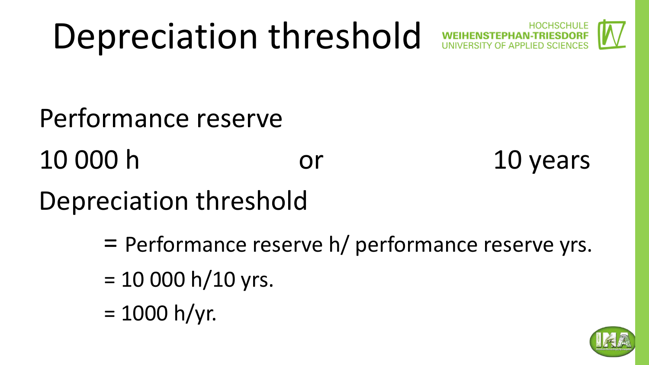## Depreciation threshold



Performance reserve

10 000 h or 10 years

Depreciation threshold

= Performance reserve h/ performance reserve yrs.

- $= 10 000 h/10 yrs.$
- $= 1000$  h/yr.

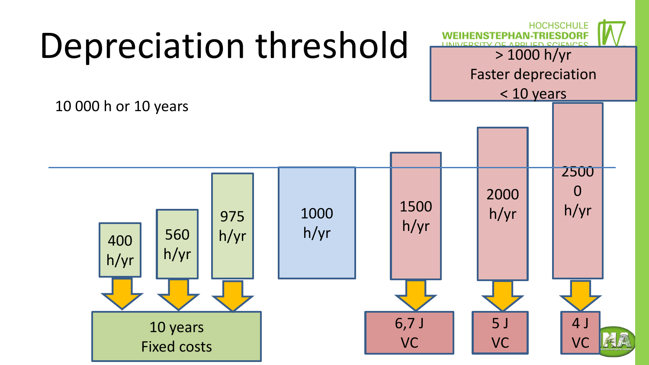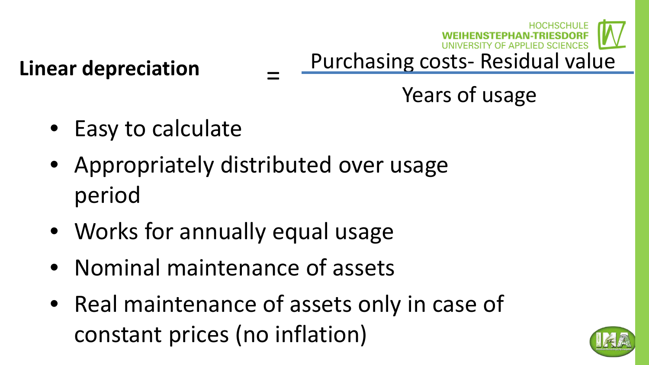# Purchasing costs- Residual value

Years of usage

• Easy to calculate

**Linear depreciation**

• Appropriately distributed over usage period

=

- Works for annually equal usage
- Nominal maintenance of assets
- Real maintenance of assets only in case of constant prices (no inflation)

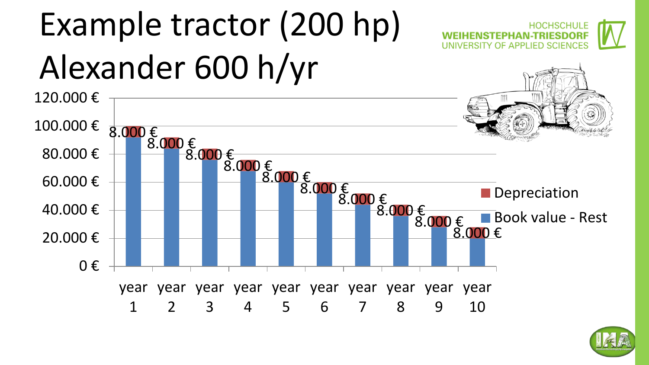

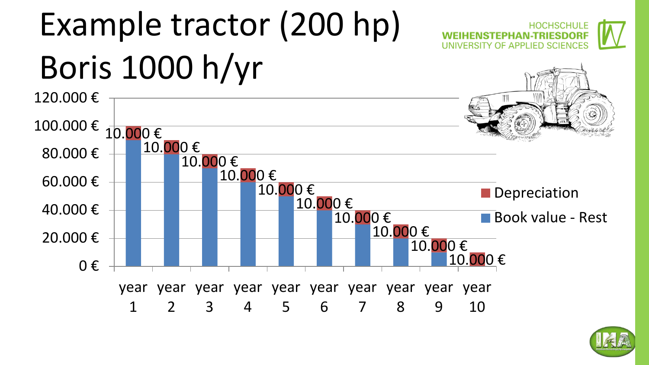